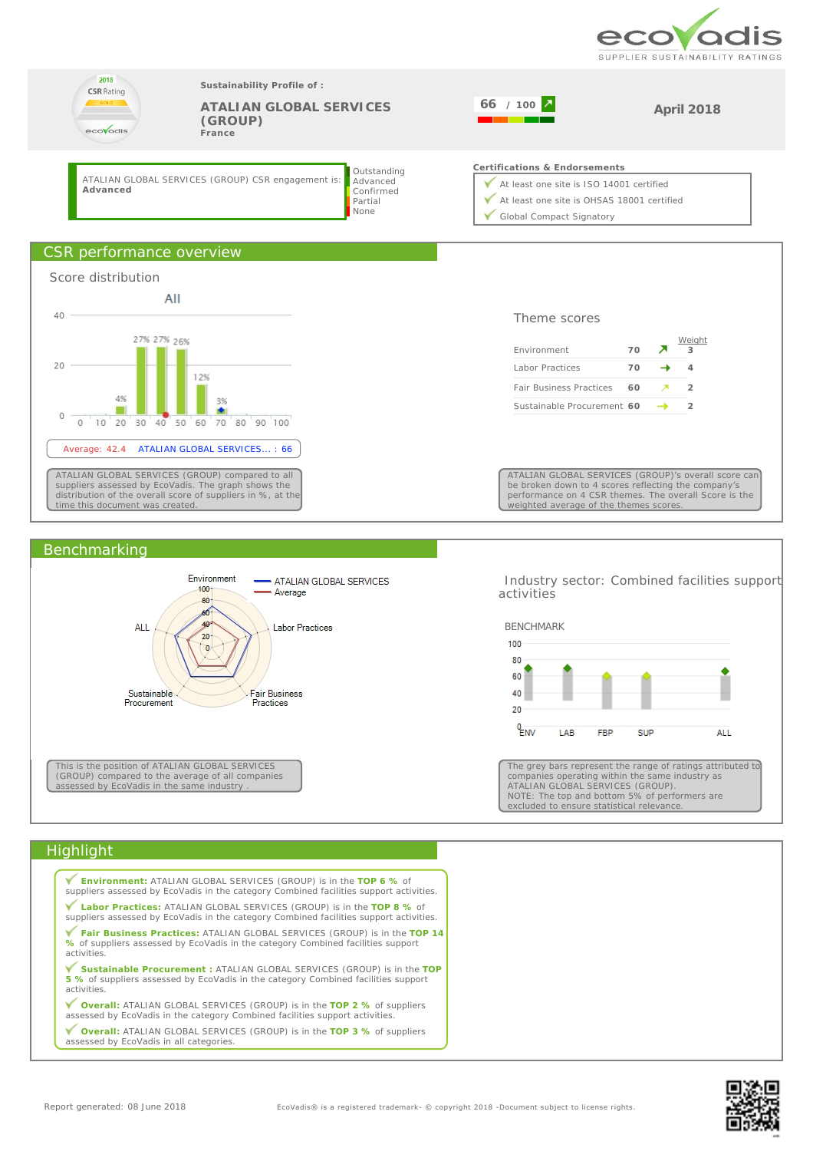



#### Benchmarking



 Industry sector: Combined facilities support activities



The grey bars represent the range of ratings attributed to companies operating within the same industry as ATALIAN GLOBAL SERVICES (GROUP). NOTE: The top and bottom 5% of performers are excluded to ensure statistical relevance.

## **Highlight**

| <b>Environment: ATALIAN GLOBAL SERVICES (GROUP) is in the TOP 6 % of</b><br>suppliers assessed by EcoVadis in the category Combined facilities support activities.          |
|-----------------------------------------------------------------------------------------------------------------------------------------------------------------------------|
| Labor Practices: ATALIAN GLOBAL SERVICES (GROUP) is in the TOP 8 % of<br>suppliers assessed by EcoVadis in the category Combined facilities support activities.             |
| Fair Business Practices: ATALIAN GLOBAL SERVICES (GROUP) is in the TOP 14<br>% of suppliers assessed by EcoVadis in the category Combined facilities support<br>activities. |
| Sustainable Procurement : ATALIAN GLOBAL SERVICES (GROUP) is in the TOP<br>5 % of suppliers assessed by EcoVadis in the category Combined facilities support<br>activities. |
| ▼ Overall: ATALIAN GLOBAL SERVICES (GROUP) is in the TOP 2 % of suppliers<br>assessed by EcoVadis in the category Combined facilities support activities.                   |
| <b>V</b> Overall: ATALIAN GLOBAL SERVICES (GROUP) is in the TOP 3 % of suppliers<br>assessed by EcoVadis in all categories.                                                 |